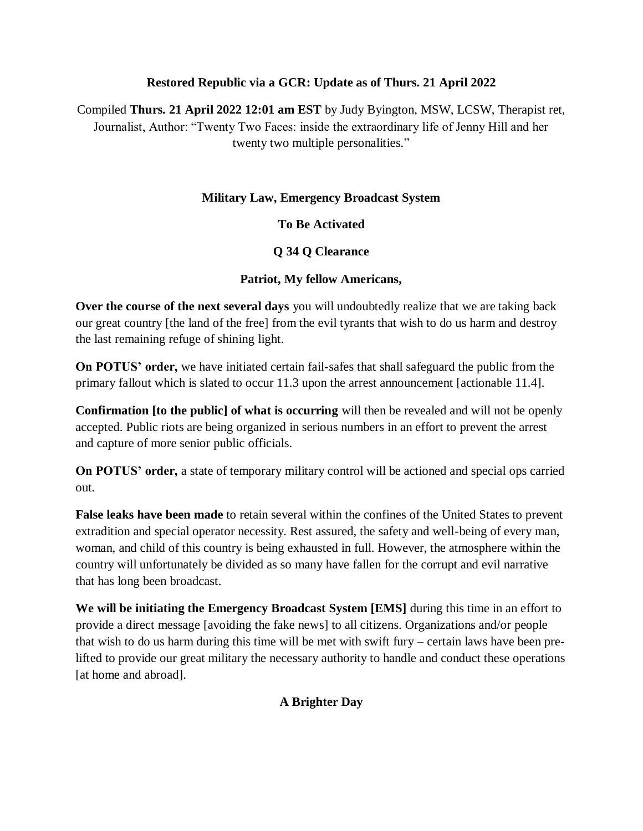### **Restored Republic via a GCR: Update as of Thurs. 21 April 2022**

Compiled **Thurs. 21 April 2022 12:01 am EST** by Judy Byington, MSW, LCSW, Therapist ret, Journalist, Author: "Twenty Two Faces: inside the extraordinary life of Jenny Hill and her twenty two multiple personalities."

### **Military Law, Emergency Broadcast System**

## **To Be Activated**

## **Q 34 Q Clearance**

### **Patriot, My fellow Americans,**

**Over the course of the next several days** you will undoubtedly realize that we are taking back our great country [the land of the free] from the evil tyrants that wish to do us harm and destroy the last remaining refuge of shining light.

**On POTUS" order,** we have initiated certain fail-safes that shall safeguard the public from the primary fallout which is slated to occur 11.3 upon the arrest announcement [actionable 11.4].

**Confirmation [to the public] of what is occurring** will then be revealed and will not be openly accepted. Public riots are being organized in serious numbers in an effort to prevent the arrest and capture of more senior public officials.

**On POTUS" order,** a state of temporary military control will be actioned and special ops carried out.

**False leaks have been made** to retain several within the confines of the United States to prevent extradition and special operator necessity. Rest assured, the safety and well-being of every man, woman, and child of this country is being exhausted in full. However, the atmosphere within the country will unfortunately be divided as so many have fallen for the corrupt and evil narrative that has long been broadcast.

**We will be initiating the Emergency Broadcast System [EMS]** during this time in an effort to provide a direct message [avoiding the fake news] to all citizens. Organizations and/or people that wish to do us harm during this time will be met with swift fury – certain laws have been prelifted to provide our great military the necessary authority to handle and conduct these operations [at home and abroad].

## **A Brighter Day**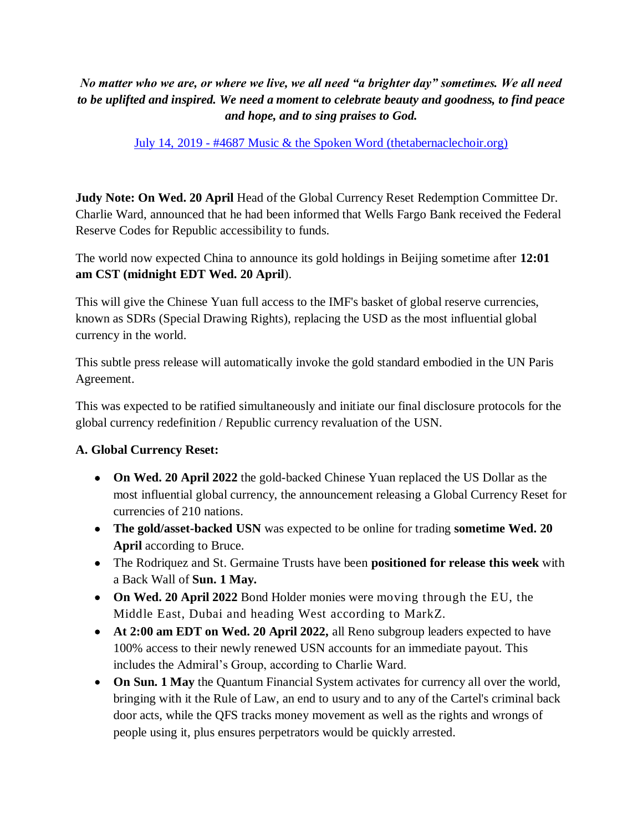# *No matter who we are, or where we live, we all need "a brighter day" sometimes. We all need to be uplifted and inspired. We need a moment to celebrate beauty and goodness, to find peace and hope, and to sing praises to God.*

### July 14, 2019 - [#4687 Music & the Spoken Word \(thetabernaclechoir.org\)](https://www.thetabernaclechoir.org/videos/july-14-2019-4687-music-and-the-spoken-word.html)

**Judy Note: On Wed. 20 April** Head of the Global Currency Reset Redemption Committee Dr. Charlie Ward, announced that he had been informed that Wells Fargo Bank received the Federal Reserve Codes for Republic accessibility to funds.

The world now expected China to announce its gold holdings in Beijing sometime after **12:01 am CST (midnight EDT Wed. 20 April**).

This will give the Chinese Yuan full access to the IMF's basket of global reserve currencies, known as SDRs (Special Drawing Rights), replacing the USD as the most influential global currency in the world.

This subtle press release will automatically invoke the gold standard embodied in the UN Paris Agreement.

This was expected to be ratified simultaneously and initiate our final disclosure protocols for the global currency redefinition / Republic currency revaluation of the USN.

#### **A. Global Currency Reset:**

- **On Wed. 20 April 2022** the gold-backed Chinese Yuan replaced the US Dollar as the most influential global currency, the announcement releasing a Global Currency Reset for currencies of 210 nations.
- **The gold/asset-backed USN** was expected to be online for trading **sometime Wed. 20 April** according to Bruce.
- The Rodriquez and St. Germaine Trusts have been **positioned for release this week** with a Back Wall of **Sun. 1 May.**
- **On Wed. 20 April 2022** Bond Holder monies were moving through the EU, the Middle East, Dubai and heading West according to MarkZ.
- **At 2:00 am EDT on Wed. 20 April 2022,** all Reno subgroup leaders expected to have 100% access to their newly renewed USN accounts for an immediate payout. This includes the Admiral's Group, according to Charlie Ward.
- **On Sun. 1 May** the Quantum Financial System activates for currency all over the world, bringing with it the Rule of Law, an end to usury and to any of the Cartel's criminal back door acts, while the QFS tracks money movement as well as the rights and wrongs of people using it, plus ensures perpetrators would be quickly arrested.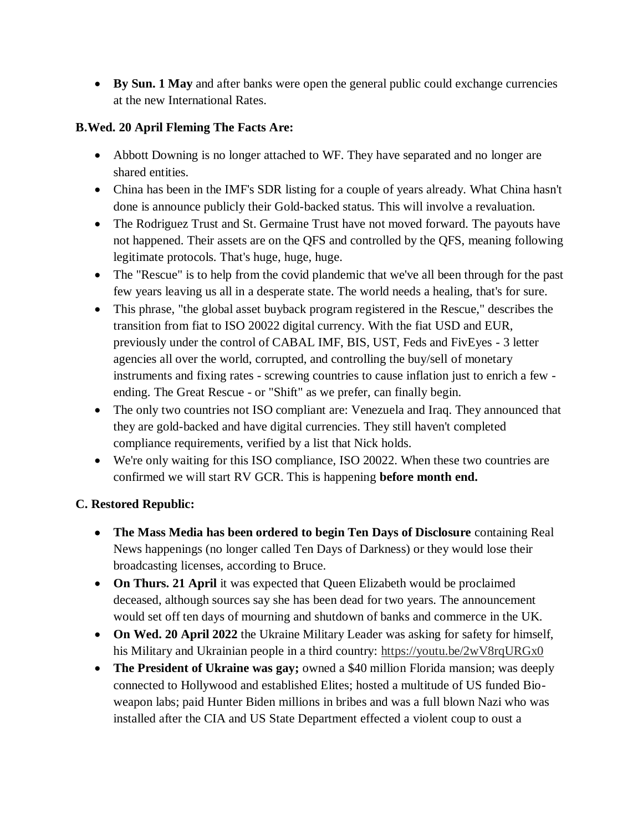**By Sun. 1 May** and after banks were open the general public could exchange currencies at the new International Rates.

### **B.Wed. 20 April Fleming The Facts Are:**

- Abbott Downing is no longer attached to WF. They have separated and no longer are shared entities.
- China has been in the IMF's SDR listing for a couple of years already. What China hasn't done is announce publicly their Gold-backed status. This will involve a revaluation.
- The Rodriguez Trust and St. Germaine Trust have not moved forward. The payouts have not happened. Their assets are on the QFS and controlled by the QFS, meaning following legitimate protocols. That's huge, huge, huge.
- The "Rescue" is to help from the covid plandemic that we've all been through for the past few years leaving us all in a desperate state. The world needs a healing, that's for sure.
- This phrase, "the global asset buyback program registered in the Rescue," describes the transition from fiat to ISO 20022 digital currency. With the fiat USD and EUR, previously under the control of CABAL IMF, BIS, UST, Feds and FivEyes - 3 letter agencies all over the world, corrupted, and controlling the buy/sell of monetary instruments and fixing rates - screwing countries to cause inflation just to enrich a few ending. The Great Rescue - or "Shift" as we prefer, can finally begin.
- The only two countries not ISO compliant are: Venezuela and Iraq. They announced that they are gold-backed and have digital currencies. They still haven't completed compliance requirements, verified by a list that Nick holds.
- We're only waiting for this ISO compliance, ISO 20022. When these two countries are confirmed we will start RV GCR. This is happening **before month end.**

## **C. Restored Republic:**

- **The Mass Media has been ordered to begin Ten Days of Disclosure** containing Real News happenings (no longer called Ten Days of Darkness) or they would lose their broadcasting licenses, according to Bruce.
- **On Thurs. 21 April** it was expected that Queen Elizabeth would be proclaimed deceased, although sources say she has been dead for two years. The announcement would set off ten days of mourning and shutdown of banks and commerce in the UK.
- **On Wed. 20 April 2022** the Ukraine Military Leader was asking for safety for himself, his Military and Ukrainian people in a third country:<https://youtu.be/2wV8rqURGx0>
- **The President of Ukraine was gay;** owned a \$40 million Florida mansion; was deeply connected to Hollywood and established Elites; hosted a multitude of US funded Bioweapon labs; paid Hunter Biden millions in bribes and was a full blown Nazi who was installed after the CIA and US State Department effected a violent coup to oust a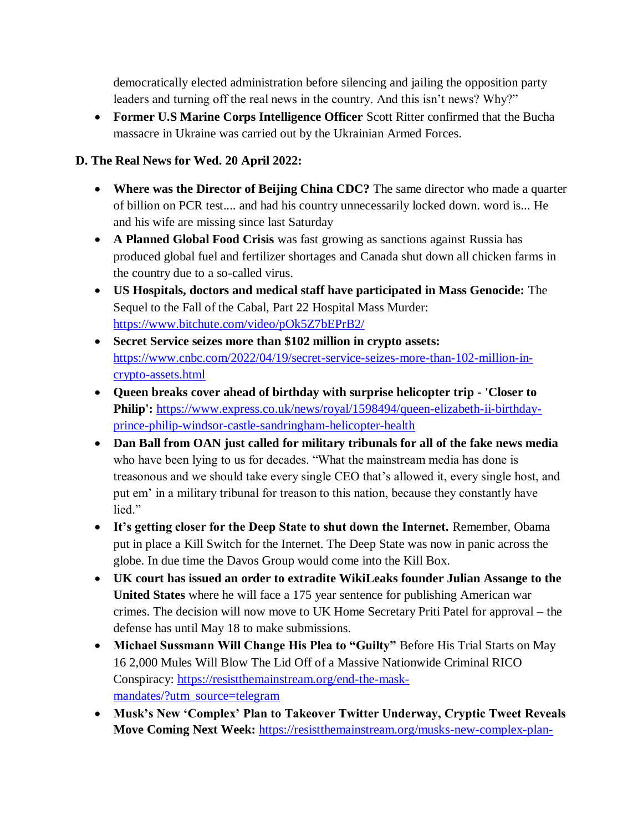democratically elected administration before silencing and jailing the opposition party leaders and turning off the real news in the country. And this isn't news? Why?"

 **Former U.S Marine Corps Intelligence Officer** Scott Ritter confirmed that the Bucha massacre in Ukraine was carried out by the Ukrainian Armed Forces.

## **D. The Real News for Wed. 20 April 2022:**

- **Where was the Director of Beijing China CDC?** The same director who made a quarter of billion on PCR test.... and had his country unnecessarily locked down. word is... He and his wife are missing since last Saturday
- **A Planned Global Food Crisis** was fast growing as sanctions against Russia has produced global fuel and fertilizer shortages and Canada shut down all chicken farms in the country due to a so-called virus.
- **US Hospitals, doctors and medical staff have participated in Mass Genocide:** The Sequel to the Fall of the Cabal, Part 22 Hospital Mass Murder: <https://www.bitchute.com/video/pOk5Z7bEPrB2/>
- **Secret Service seizes more than \$102 million in crypto assets:**  [https://www.cnbc.com/2022/04/19/secret-service-seizes-more-than-102-million-in](https://www.cnbc.com/2022/04/19/secret-service-seizes-more-than-102-million-in-crypto-assets.html)[crypto-assets.html](https://www.cnbc.com/2022/04/19/secret-service-seizes-more-than-102-million-in-crypto-assets.html)
- **Queen breaks cover ahead of birthday with surprise helicopter trip - 'Closer to Philip':** [https://www.express.co.uk/news/royal/1598494/queen-elizabeth-ii-birthday](https://www.express.co.uk/news/royal/1598494/queen-elizabeth-ii-birthday-prince-philip-windsor-castle-sandringham-helicopter-health)[prince-philip-windsor-castle-sandringham-helicopter-health](https://www.express.co.uk/news/royal/1598494/queen-elizabeth-ii-birthday-prince-philip-windsor-castle-sandringham-helicopter-health)
- **Dan Ball from OAN just called for military tribunals for all of the fake news media** who have been lying to us for decades. "What the mainstream media has done is treasonous and we should take every single CEO that's allowed it, every single host, and put em' in a military tribunal for treason to this nation, because they constantly have lied."
- **It"s getting closer for the Deep State to shut down the Internet.** Remember, Obama put in place a Kill Switch for the Internet. The Deep State was now in panic across the globe. In due time the Davos Group would come into the Kill Box.
- **UK court has issued an order to extradite WikiLeaks founder Julian Assange to the United States** where he will face a 175 year sentence for publishing American war crimes. The decision will now move to UK Home Secretary Priti Patel for approval – the defense has until May 18 to make submissions.
- **Michael Sussmann Will Change His Plea to "Guilty"** Before His Trial Starts on May 16 2,000 Mules Will Blow The Lid Off of a Massive Nationwide Criminal RICO Conspiracy: [https://resistthemainstream.org/end-the-mask](https://resistthemainstream.org/end-the-mask-mandates/?utm_source=telegram)[mandates/?utm\\_source=telegram](https://resistthemainstream.org/end-the-mask-mandates/?utm_source=telegram)
- **Musk"s New "Complex" Plan to Takeover Twitter Underway, Cryptic Tweet Reveals Move Coming Next Week:** [https://resistthemainstream.org/musks-new-complex-plan-](https://resistthemainstream.org/musks-new-complex-plan-to-takeover-twitter-underway-cryptic-tweet-reveals-move-coming-next-week/?utm_source=telegram)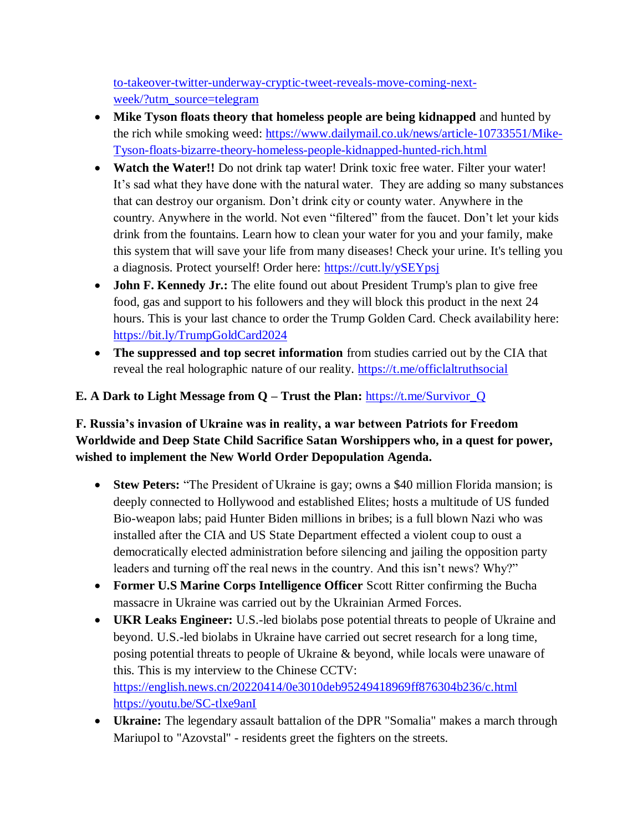[to-takeover-twitter-underway-cryptic-tweet-reveals-move-coming-next](https://resistthemainstream.org/musks-new-complex-plan-to-takeover-twitter-underway-cryptic-tweet-reveals-move-coming-next-week/?utm_source=telegram)[week/?utm\\_source=telegram](https://resistthemainstream.org/musks-new-complex-plan-to-takeover-twitter-underway-cryptic-tweet-reveals-move-coming-next-week/?utm_source=telegram)

- **Mike Tyson floats theory that homeless people are being kidnapped** and hunted by the rich while smoking weed: [https://www.dailymail.co.uk/news/article-10733551/Mike-](https://www.dailymail.co.uk/news/article-10733551/Mike-Tyson-floats-bizarre-theory-homeless-people-kidnapped-hunted-rich.html)[Tyson-floats-bizarre-theory-homeless-people-kidnapped-hunted-rich.html](https://www.dailymail.co.uk/news/article-10733551/Mike-Tyson-floats-bizarre-theory-homeless-people-kidnapped-hunted-rich.html)
- **Watch the Water!!** Do not drink tap water! Drink toxic free water. Filter your water! It's sad what they have done with the natural water. They are adding so many substances that can destroy our organism. Don't drink city or county water. Anywhere in the country. Anywhere in the world. Not even "filtered" from the faucet. Don't let your kids drink from the fountains. Learn how to clean your water for you and your family, make this system that will save your life from many diseases! Check your urine. It's telling you a diagnosis. Protect yourself! Order here:<https://cutt.ly/ySEYpsj>
- **John F. Kennedy Jr.:** The elite found out about President Trump's plan to give free food, gas and support to his followers and they will block this product in the next 24 hours. This is your last chance to order the Trump Golden Card. Check availability here: <https://bit.ly/TrumpGoldCard2024>
- **The suppressed and top secret information** from studies carried out by the CIA that reveal the real holographic nature of our reality. <https://t.me/officlaltruthsocial>

# **E. A Dark to Light Message from Q – Trust the Plan:** [https://t.me/Survivor\\_Q](https://t.me/Survivor_Q)

**F. Russia"s invasion of Ukraine was in reality, a war between Patriots for Freedom Worldwide and Deep State Child Sacrifice Satan Worshippers who, in a quest for power, wished to implement the New World Order Depopulation Agenda.**

- **Stew Peters:** "The President of Ukraine is gay; owns a \$40 million Florida mansion; is deeply connected to Hollywood and established Elites; hosts a multitude of US funded Bio-weapon labs; paid Hunter Biden millions in bribes; is a full blown Nazi who was installed after the CIA and US State Department effected a violent coup to oust a democratically elected administration before silencing and jailing the opposition party leaders and turning off the real news in the country. And this isn't news? Why?"
- **Former U.S Marine Corps Intelligence Officer** Scott Ritter confirming the Bucha massacre in Ukraine was carried out by the Ukrainian Armed Forces.
- **UKR Leaks Engineer:** U.S.-led biolabs pose potential threats to people of Ukraine and beyond. U.S.-led biolabs in Ukraine have carried out secret research for a long time, posing potential threats to people of Ukraine & beyond, while locals were unaware of this. This is my interview to the Chinese CCTV: <https://english.news.cn/20220414/0e3010deb95249418969ff876304b236/c.html> <https://youtu.be/SC-tlxe9anI>
- **Ukraine:** The legendary assault battalion of the DPR "Somalia" makes a march through Mariupol to "Azovstal" - residents greet the fighters on the streets.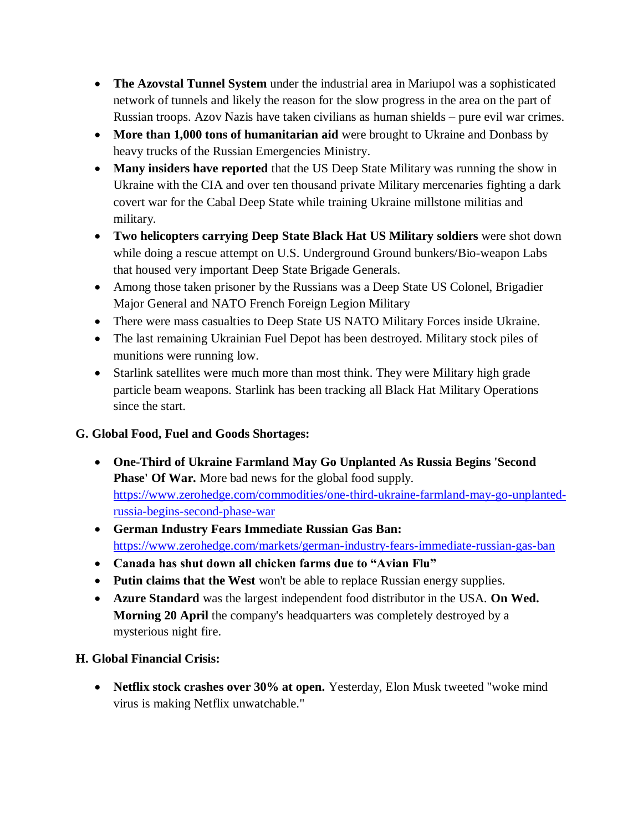- **The Azovstal Tunnel System** under the industrial area in Mariupol was a sophisticated network of tunnels and likely the reason for the slow progress in the area on the part of Russian troops. Azov Nazis have taken civilians as human shields – pure evil war crimes.
- More than 1,000 tons of humanitarian aid were brought to Ukraine and Donbass by heavy trucks of the Russian Emergencies Ministry.
- **Many insiders have reported** that the US Deep State Military was running the show in Ukraine with the CIA and over ten thousand private Military mercenaries fighting a dark covert war for the Cabal Deep State while training Ukraine millstone militias and military.
- **Two helicopters carrying Deep State Black Hat US Military soldiers** were shot down while doing a rescue attempt on U.S. Underground Ground bunkers/Bio-weapon Labs that housed very important Deep State Brigade Generals.
- Among those taken prisoner by the Russians was a Deep State US Colonel, Brigadier Major General and NATO French Foreign Legion Military
- There were mass casualties to Deep State US NATO Military Forces inside Ukraine.
- The last remaining Ukrainian Fuel Depot has been destroyed. Military stock piles of munitions were running low.
- Starlink satellites were much more than most think. They were Military high grade particle beam weapons. Starlink has been tracking all Black Hat Military Operations since the start.

# **G. Global Food, Fuel and Goods Shortages:**

- **One-Third of Ukraine Farmland May Go Unplanted As Russia Begins 'Second Phase' Of War.** More bad news for the global food supply. [https://www.zerohedge.com/commodities/one-third-ukraine-farmland-may-go-unplanted](https://www.zerohedge.com/commodities/one-third-ukraine-farmland-may-go-unplanted-russia-begins-second-phase-war)[russia-begins-second-phase-war](https://www.zerohedge.com/commodities/one-third-ukraine-farmland-may-go-unplanted-russia-begins-second-phase-war)
- **German Industry Fears Immediate Russian Gas Ban:**  <https://www.zerohedge.com/markets/german-industry-fears-immediate-russian-gas-ban>
- **Canada has shut down all chicken farms due to "Avian Flu"**
- **Putin claims that the West** won't be able to replace Russian energy supplies.
- **Azure Standard** was the largest independent food distributor in the USA. **On Wed. Morning 20 April** the company's headquarters was completely destroyed by a mysterious night fire.

# **H. Global Financial Crisis:**

• Netflix stock crashes over 30% at open. Yesterday, Elon Musk tweeted "woke mind" virus is making Netflix unwatchable."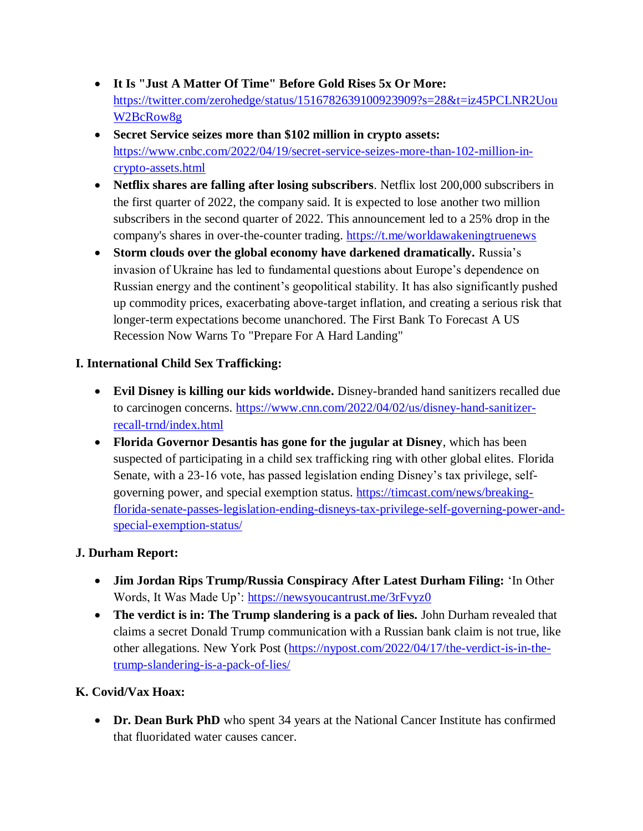- **It Is "Just A Matter Of Time" Before Gold Rises 5x Or More:**  [https://twitter.com/zerohedge/status/1516782639100923909?s=28&t=iz45PCLNR2Uou](https://twitter.com/zerohedge/status/1516782639100923909?s=28&t=iz45PCLNR2UouW2BcRow8g) [W2BcRow8g](https://twitter.com/zerohedge/status/1516782639100923909?s=28&t=iz45PCLNR2UouW2BcRow8g)
- **Secret Service seizes more than \$102 million in crypto assets:**  [https://www.cnbc.com/2022/04/19/secret-service-seizes-more-than-102-million-in](https://www.cnbc.com/2022/04/19/secret-service-seizes-more-than-102-million-in-crypto-assets.html)[crypto-assets.html](https://www.cnbc.com/2022/04/19/secret-service-seizes-more-than-102-million-in-crypto-assets.html)
- **Netflix shares are falling after losing subscribers**. Netflix lost 200,000 subscribers in the first quarter of 2022, the company said. It is expected to lose another two million subscribers in the second quarter of 2022. This announcement led to a 25% drop in the company's shares in over-the-counter trading.<https://t.me/worldawakeningtruenews>
- **Storm clouds over the global economy have darkened dramatically.** Russia's invasion of Ukraine has led to fundamental questions about Europe's dependence on Russian energy and the continent's geopolitical stability. It has also significantly pushed up commodity prices, exacerbating above-target inflation, and creating a serious risk that longer-term expectations become unanchored. The First Bank To Forecast A US Recession Now Warns To "Prepare For A Hard Landing"

## **I. International Child Sex Trafficking:**

- **Evil Disney is killing our kids worldwide.** Disney-branded hand sanitizers recalled due to carcinogen concerns. [https://www.cnn.com/2022/04/02/us/disney-hand-sanitizer](https://www.cnn.com/2022/04/02/us/disney-hand-sanitizer-recall-trnd/index.html)[recall-trnd/index.html](https://www.cnn.com/2022/04/02/us/disney-hand-sanitizer-recall-trnd/index.html)
- **Florida Governor Desantis has gone for the jugular at Disney**, which has been suspected of participating in a child sex trafficking ring with other global elites. Florida Senate, with a 23-16 vote, has passed legislation ending Disney's tax privilege, selfgoverning power, and special exemption status. [https://timcast.com/news/breaking](https://timcast.com/news/breaking-florida-senate-passes-legislation-ending-disneys-tax-privilege-self-governing-power-and-special-exemption-status/)[florida-senate-passes-legislation-ending-disneys-tax-privilege-self-governing-power-and](https://timcast.com/news/breaking-florida-senate-passes-legislation-ending-disneys-tax-privilege-self-governing-power-and-special-exemption-status/)[special-exemption-status/](https://timcast.com/news/breaking-florida-senate-passes-legislation-ending-disneys-tax-privilege-self-governing-power-and-special-exemption-status/)

## **J. Durham Report:**

- Jim Jordan Rips Trump/Russia Conspiracy After Latest Durham Filing: 'In Other Words, It Was Made Up':<https://newsyoucantrust.me/3rFvyz0>
- **The verdict is in: The Trump slandering is a pack of lies.** John Durham revealed that claims a secret Donald Trump communication with a Russian bank claim is not true, like other allegations. New York Post [\(https://nypost.com/2022/04/17/the-verdict-is-in-the](https://nypost.com/2022/04/17/the-verdict-is-in-the-trump-slandering-is-a-pack-of-lies/)[trump-slandering-is-a-pack-of-lies/](https://nypost.com/2022/04/17/the-verdict-is-in-the-trump-slandering-is-a-pack-of-lies/)

## **K. Covid/Vax Hoax:**

**• Dr. Dean Burk PhD** who spent 34 years at the National Cancer Institute has confirmed that fluoridated water causes cancer.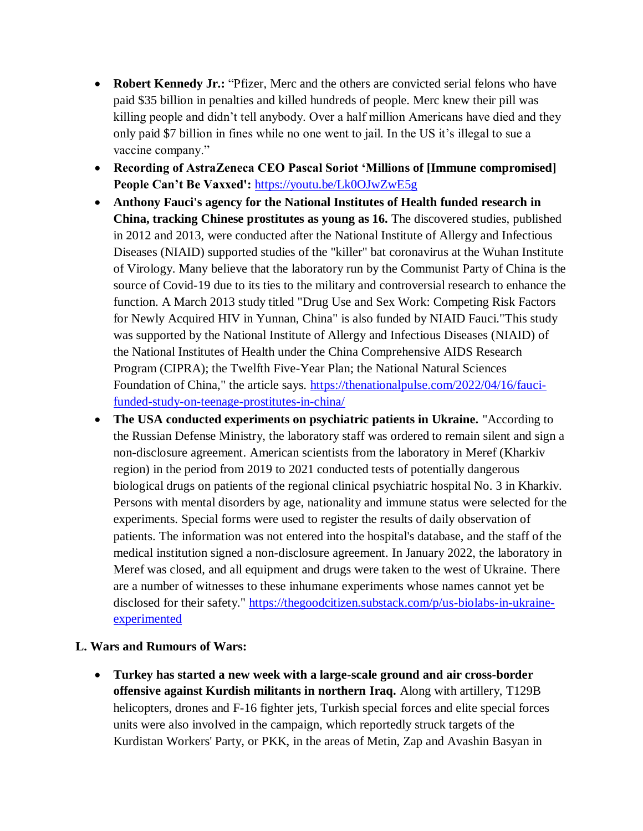- **Robert Kennedy Jr.:** "Pfizer, Merc and the others are convicted serial felons who have paid \$35 billion in penalties and killed hundreds of people. Merc knew their pill was killing people and didn't tell anybody. Over a half million Americans have died and they only paid \$7 billion in fines while no one went to jail. In the US it's illegal to sue a vaccine company."
- **Recording of AstraZeneca CEO Pascal Soriot "Millions of [Immune compromised] People Can"t Be Vaxxed':** <https://youtu.be/Lk0OJwZwE5g>
- **Anthony Fauci's agency for the National Institutes of Health funded research in China, tracking Chinese prostitutes as young as 16.** The discovered studies, published in 2012 and 2013, were conducted after the National Institute of Allergy and Infectious Diseases (NIAID) supported studies of the "killer" bat coronavirus at the Wuhan Institute of Virology. Many believe that the laboratory run by the Communist Party of China is the source of Covid-19 due to its ties to the military and controversial research to enhance the function. A March 2013 study titled "Drug Use and Sex Work: Competing Risk Factors for Newly Acquired HIV in Yunnan, China" is also funded by NIAID Fauci."This study was supported by the National Institute of Allergy and Infectious Diseases (NIAID) of the National Institutes of Health under the China Comprehensive AIDS Research Program (CIPRA); the Twelfth Five-Year Plan; the National Natural Sciences Foundation of China," the article says. [https://thenationalpulse.com/2022/04/16/fauci](https://thenationalpulse.com/2022/04/16/fauci-funded-study-on-teenage-prostitutes-in-china/)[funded-study-on-teenage-prostitutes-in-china/](https://thenationalpulse.com/2022/04/16/fauci-funded-study-on-teenage-prostitutes-in-china/)
- **The USA conducted experiments on psychiatric patients in Ukraine.** "According to the Russian Defense Ministry, the laboratory staff was ordered to remain silent and sign a non-disclosure agreement. American scientists from the laboratory in Meref (Kharkiv region) in the period from 2019 to 2021 conducted tests of potentially dangerous biological drugs on patients of the regional clinical psychiatric hospital No. 3 in Kharkiv. Persons with mental disorders by age, nationality and immune status were selected for the experiments. Special forms were used to register the results of daily observation of patients. The information was not entered into the hospital's database, and the staff of the medical institution signed a non-disclosure agreement. In January 2022, the laboratory in Meref was closed, and all equipment and drugs were taken to the west of Ukraine. There are a number of witnesses to these inhumane experiments whose names cannot yet be disclosed for their safety." [https://thegoodcitizen.substack.com/p/us-biolabs-in-ukraine](https://thegoodcitizen.substack.com/p/us-biolabs-in-ukraine-experimented)[experimented](https://thegoodcitizen.substack.com/p/us-biolabs-in-ukraine-experimented)

#### **L. Wars and Rumours of Wars:**

 **Turkey has started a new week with a large-scale ground and air cross-border offensive against Kurdish militants in northern Iraq.** Along with artillery, T129B helicopters, drones and F-16 fighter jets, Turkish special forces and elite special forces units were also involved in the campaign, which reportedly struck targets of the Kurdistan Workers' Party, or PKK, in the areas of Metin, Zap and Avashin Basyan in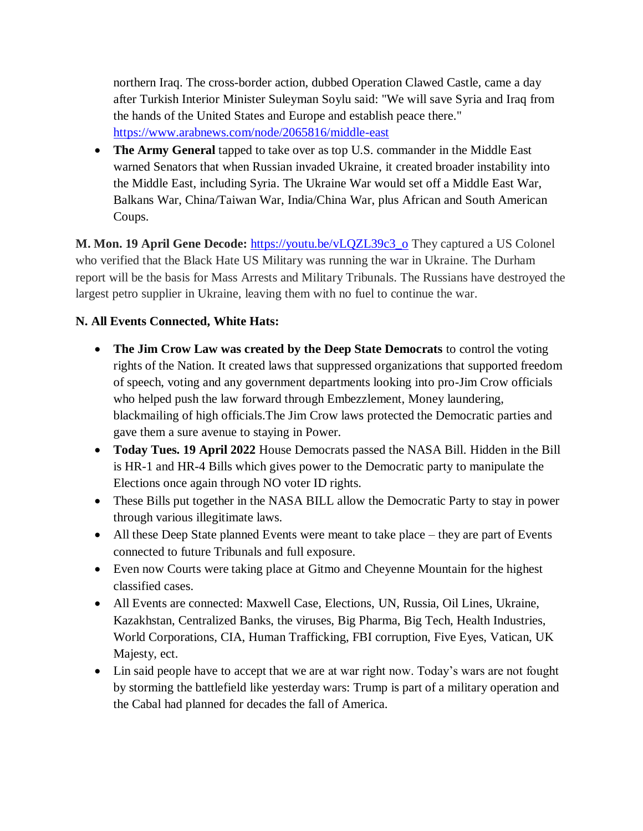northern Iraq. The cross-border action, dubbed Operation Clawed Castle, came a day after Turkish Interior Minister Suleyman Soylu said: "We will save Syria and Iraq from the hands of the United States and Europe and establish peace there." <https://www.arabnews.com/node/2065816/middle-east>

 **The Army General** tapped to take over as top U.S. commander in the Middle East warned Senators that when Russian invaded Ukraine, it created broader instability into the Middle East, including Syria. The Ukraine War would set off a Middle East War, Balkans War, China/Taiwan War, India/China War, plus African and South American Coups.

**M. Mon. 19 April Gene Decode:** [https://youtu.be/vLQZL39c3\\_o](https://youtu.be/vLQZL39c3_o) They captured a US Colonel who verified that the Black Hate US Military was running the war in Ukraine. The Durham report will be the basis for Mass Arrests and Military Tribunals. The Russians have destroyed the largest petro supplier in Ukraine, leaving them with no fuel to continue the war.

## **N. All Events Connected, White Hats:**

- **The Jim Crow Law was created by the Deep State Democrats** to control the voting rights of the Nation. It created laws that suppressed organizations that supported freedom of speech, voting and any government departments looking into pro-Jim Crow officials who helped push the law forward through Embezzlement, Money laundering, blackmailing of high officials.The Jim Crow laws protected the Democratic parties and gave them a sure avenue to staying in Power.
- **Today Tues. 19 April 2022** House Democrats passed the NASA Bill. Hidden in the Bill is HR-1 and HR-4 Bills which gives power to the Democratic party to manipulate the Elections once again through NO voter ID rights.
- These Bills put together in the NASA BILL allow the Democratic Party to stay in power through various illegitimate laws.
- All these Deep State planned Events were meant to take place they are part of Events connected to future Tribunals and full exposure.
- Even now Courts were taking place at Gitmo and Cheyenne Mountain for the highest classified cases.
- All Events are connected: Maxwell Case, Elections, UN, Russia, Oil Lines, Ukraine, Kazakhstan, Centralized Banks, the viruses, Big Pharma, Big Tech, Health Industries, World Corporations, CIA, Human Trafficking, FBI corruption, Five Eyes, Vatican, UK Majesty, ect.
- Lin said people have to accept that we are at war right now. Today's wars are not fought by storming the battlefield like yesterday wars: Trump is part of a military operation and the Cabal had planned for decades the fall of America.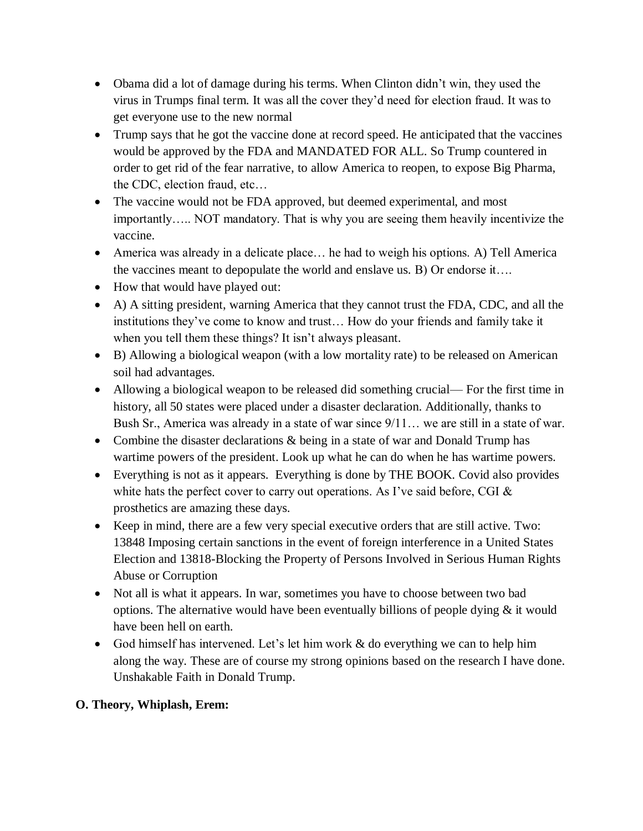- Obama did a lot of damage during his terms. When Clinton didn't win, they used the virus in Trumps final term. It was all the cover they'd need for election fraud. It was to get everyone use to the new normal
- Trump says that he got the vaccine done at record speed. He anticipated that the vaccines would be approved by the FDA and MANDATED FOR ALL. So Trump countered in order to get rid of the fear narrative, to allow America to reopen, to expose Big Pharma, the CDC, election fraud, etc…
- The vaccine would not be FDA approved, but deemed experimental, and most importantly….. NOT mandatory. That is why you are seeing them heavily incentivize the vaccine.
- America was already in a delicate place… he had to weigh his options. A) Tell America the vaccines meant to depopulate the world and enslave us. B) Or endorse it….
- How that would have played out:
- A) A sitting president, warning America that they cannot trust the FDA, CDC, and all the institutions they've come to know and trust… How do your friends and family take it when you tell them these things? It isn't always pleasant.
- B) Allowing a biological weapon (with a low mortality rate) to be released on American soil had advantages.
- Allowing a biological weapon to be released did something crucial— For the first time in history, all 50 states were placed under a disaster declaration. Additionally, thanks to Bush Sr., America was already in a state of war since 9/11… we are still in a state of war.
- Combine the disaster declarations & being in a state of war and Donald Trump has wartime powers of the president. Look up what he can do when he has wartime powers.
- Everything is not as it appears. Everything is done by THE BOOK. Covid also provides white hats the perfect cover to carry out operations. As I've said before, CGI & prosthetics are amazing these days.
- Keep in mind, there are a few very special executive orders that are still active. Two: 13848 Imposing certain sanctions in the event of foreign interference in a United States Election and 13818-Blocking the Property of Persons Involved in Serious Human Rights Abuse or Corruption
- Not all is what it appears. In war, sometimes you have to choose between two bad options. The alternative would have been eventually billions of people dying  $\&$  it would have been hell on earth.
- God himself has intervened. Let's let him work & do everything we can to help him along the way. These are of course my strong opinions based on the research I have done. Unshakable Faith in Donald Trump.

## **O. Theory, Whiplash, Erem:**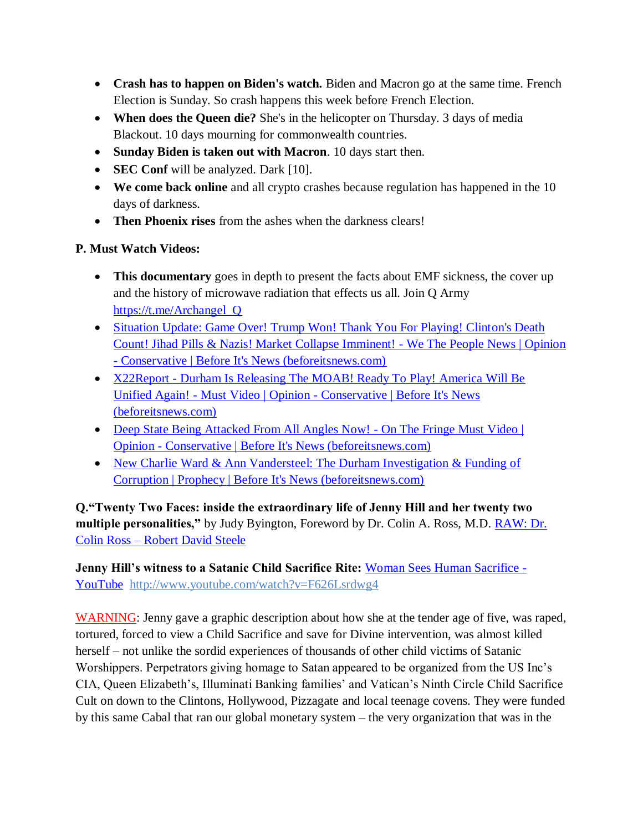- **Crash has to happen on Biden's watch.** Biden and Macron go at the same time. French Election is Sunday. So crash happens this week before French Election.
- **When does the Queen die?** She's in the helicopter on Thursday. 3 days of media Blackout. 10 days mourning for commonwealth countries.
- **Sunday Biden is taken out with Macron**. 10 days start then.
- **SEC Conf** will be analyzed. Dark [10].
- **We come back online** and all crypto crashes because regulation has happened in the 10 days of darkness.
- **Then Phoenix rises** from the ashes when the darkness clears!

## **P. Must Watch Videos:**

- **This documentary** goes in depth to present the facts about EMF sickness, the cover up and the history of microwave radiation that effects us all. Join Q Army [https://t.me/Archangel\\_Q](https://t.me/Archangel_Q)
- Situation Update: Game Over! Trump Won! Thank You For Playing! Clinton's Death [Count! Jihad Pills & Nazis! Market Collapse Imminent! -](https://beforeitsnews.com/opinion-conservative/2022/04/situation-update-game-over-trump-won-thank-you-for-playing-clintons-death-count-jihad-pills-nazis-market-collapse-imminent-we-the-people-news-3626318.html) We The People News | Opinion - [Conservative | Before It's News \(beforeitsnews.com\)](https://beforeitsnews.com/opinion-conservative/2022/04/situation-update-game-over-trump-won-thank-you-for-playing-clintons-death-count-jihad-pills-nazis-market-collapse-imminent-we-the-people-news-3626318.html)
- X22Report [Durham Is Releasing The MOAB! Ready To Play! America Will Be](https://beforeitsnews.com/opinion-conservative/2022/04/x22report-durham-is-releasing-the-moab-ready-to-play-america-will-be-unified-again-must-video-3626313.html)  Unified Again! - Must Video | Opinion - [Conservative | Before It's News](https://beforeitsnews.com/opinion-conservative/2022/04/x22report-durham-is-releasing-the-moab-ready-to-play-america-will-be-unified-again-must-video-3626313.html)  [\(beforeitsnews.com\)](https://beforeitsnews.com/opinion-conservative/2022/04/x22report-durham-is-releasing-the-moab-ready-to-play-america-will-be-unified-again-must-video-3626313.html)
- [Deep State Being Attacked From All Angles Now! -](https://beforeitsnews.com/opinion-conservative/2022/04/deep-state-being-attacked-from-all-angles-now-on-the-fringe-must-video-3626300.html) On The Fringe Must Video | Opinion - [Conservative | Before It's News \(beforeitsnews.com\)](https://beforeitsnews.com/opinion-conservative/2022/04/deep-state-being-attacked-from-all-angles-now-on-the-fringe-must-video-3626300.html)
- New Charlie Ward & Ann Vandersteel: The Durham Investigation & Funding of [Corruption | Prophecy | Before It's News \(beforeitsnews.com\)](https://beforeitsnews.com/prophecy/2022/04/new-charlie-ward-ann-vandersteel-the-durham-investigation-2529834.html)

**Q."Twenty Two Faces: inside the extraordinary life of Jenny Hill and her twenty two multiple personalities,"** by Judy Byington, Foreword by Dr. Colin A. Ross, M.D. **RAW: Dr.** Colin Ross – [Robert David Steele](https://robertdavidsteele.com/dr-colin-ross/)

**Jenny Hill's witness to a Satanic Child Sacrifice Rite: [Woman Sees Human Sacrifice -](https://www.youtube.com/watch?v=F626Lsrdwg4)** [YouTube http://www.youtube.com/watch?v=F626Lsrdwg4](https://www.youtube.com/watch?v=F626Lsrdwg4)

WARNING: Jenny gave a graphic description about how she at the tender age of five, was raped, tortured, forced to view a Child Sacrifice and save for Divine intervention, was almost killed herself – not unlike the sordid experiences of thousands of other child victims of Satanic Worshippers. Perpetrators giving homage to Satan appeared to be organized from the US Inc's CIA, Queen Elizabeth's, Illuminati Banking families' and Vatican's Ninth Circle Child Sacrifice Cult on down to the Clintons, Hollywood, Pizzagate and local teenage covens. They were funded by this same Cabal that ran our global monetary system – the very organization that was in the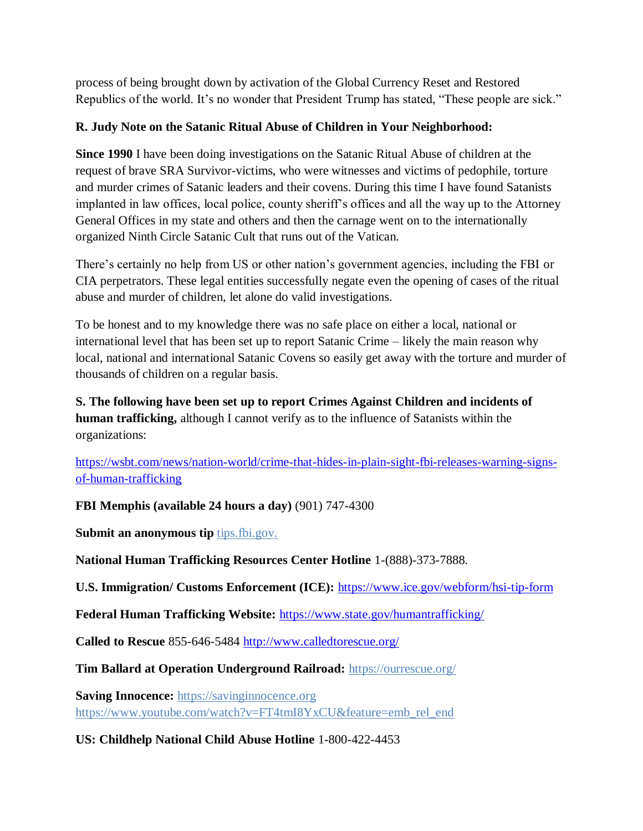process of being brought down by activation of the Global Currency Reset and Restored Republics of the world. It's no wonder that President Trump has stated, "These people are sick."

# **R. Judy Note on the Satanic Ritual Abuse of Children in Your Neighborhood:**

**Since 1990** I have been doing investigations on the Satanic Ritual Abuse of children at the request of brave SRA Survivor-victims, who were witnesses and victims of pedophile, torture and murder crimes of Satanic leaders and their covens. During this time I have found Satanists implanted in law offices, local police, county sheriff's offices and all the way up to the Attorney General Offices in my state and others and then the carnage went on to the internationally organized Ninth Circle Satanic Cult that runs out of the Vatican.

There's certainly no help from US or other nation's government agencies, including the FBI or CIA perpetrators. These legal entities successfully negate even the opening of cases of the ritual abuse and murder of children, let alone do valid investigations.

To be honest and to my knowledge there was no safe place on either a local, national or international level that has been set up to report Satanic Crime – likely the main reason why local, national and international Satanic Covens so easily get away with the torture and murder of thousands of children on a regular basis.

**S. The following have been set up to report Crimes Against Children and incidents of human trafficking,** although I cannot verify as to the influence of Satanists within the organizations:

[https://wsbt.com/news/nation-world/crime-that-hides-in-plain-sight-fbi-releases-warning-signs](https://wsbt.com/news/nation-world/crime-that-hides-in-plain-sight-fbi-releases-warning-signs-of-human-trafficking?video=e56ba52a1b9d45ad8c8a033fd83fe480&jwsource=cl)[of-human-trafficking](https://wsbt.com/news/nation-world/crime-that-hides-in-plain-sight-fbi-releases-warning-signs-of-human-trafficking?video=e56ba52a1b9d45ad8c8a033fd83fe480&jwsource=cl)

**FBI Memphis (available 24 hours a day)** (901) 747-4300

**Submit an anonymous tip tips.fbi.gov.** 

**National Human Trafficking Resources Center Hotline** 1-(888)-373-7888.

**U.S. Immigration/ Customs Enforcement (ICE):** <https://www.ice.gov/webform/hsi-tip-form>

**Federal Human Trafficking Website:** <https://www.state.gov/humantrafficking/>

**Called to Rescue** 855-646-5484<http://www.calledtorescue.org/>

**Tim Ballard at Operation Underground Railroad:** <https://ourrescue.org/>

**Saving Innocence:** [https://savinginnocence.org](https://savinginnocence.org/) [https://www.youtube.com/watch?v=FT4tmI8YxCU&feature=emb\\_rel\\_end](https://www.youtube.com/watch?v=FT4tmI8YxCU&feature=emb_rel_end)

**US: Childhelp National Child Abuse Hotline** 1-800-422-4453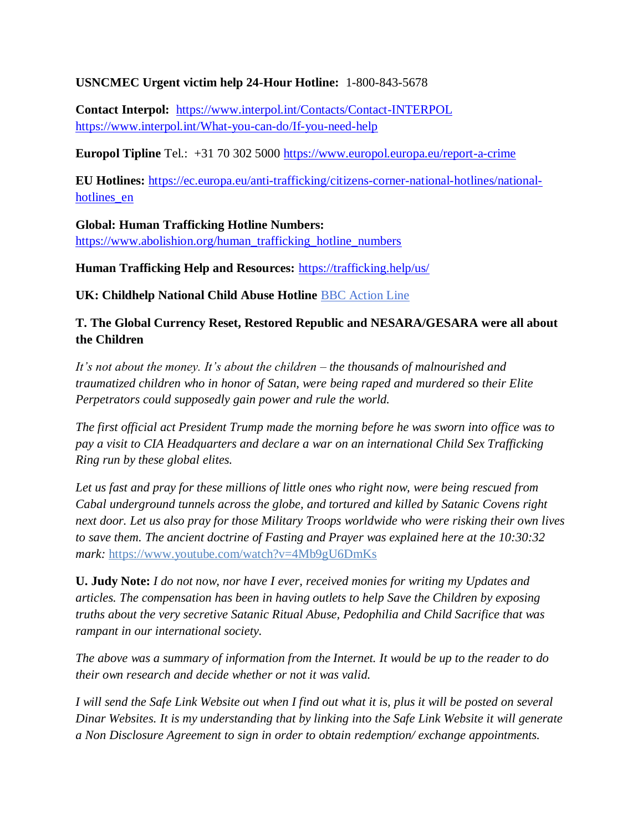#### **USNCMEC Urgent victim help 24-Hour Hotline:** 1-800-843-5678

**Contact Interpol:** <https://www.interpol.int/Contacts/Contact-INTERPOL> <https://www.interpol.int/What-you-can-do/If-you-need-help>

**Europol Tipline** Tel.: +31 70 302 5000<https://www.europol.europa.eu/report-a-crime>

**EU Hotlines:** [https://ec.europa.eu/anti-trafficking/citizens-corner-national-hotlines/national](https://ec.europa.eu/anti-trafficking/citizens-corner-national-hotlines/national-hotlines_en)hotlines en

**Global: Human Trafficking Hotline Numbers:** [https://www.abolishion.org/human\\_trafficking\\_hotline\\_numbers](https://www.abolishion.org/human_trafficking_hotline_numbers)

**Human Trafficking Help and Resources:** <https://trafficking.help/us/>

**UK: Childhelp National Child Abuse Hotline** [BBC Action Line](https://www.bbc.co.uk/actionline)

### **T. The Global Currency Reset, Restored Republic and NESARA/GESARA were all about the Children**

*It's not about the money. It's about the children – the thousands of malnourished and traumatized children who in honor of Satan, were being raped and murdered so their Elite Perpetrators could supposedly gain power and rule the world.* 

*The first official act President Trump made the morning before he was sworn into office was to pay a visit to CIA Headquarters and declare a war on an international Child Sex Trafficking Ring run by these global elites.* 

*Let us fast and pray for these millions of little ones who right now, were being rescued from Cabal underground tunnels across the globe, and tortured and killed by Satanic Covens right next door. Let us also pray for those Military Troops worldwide who were risking their own lives to save them. The ancient doctrine of Fasting and Prayer was explained here at the 10:30:32 mark:* <https://www.youtube.com/watch?v=4Mb9gU6DmKs>

**U. Judy Note:** *I do not now, nor have I ever, received monies for writing my Updates and articles. The compensation has been in having outlets to help Save the Children by exposing truths about the very secretive Satanic Ritual Abuse, Pedophilia and Child Sacrifice that was rampant in our international society.*

*The above was a summary of information from the Internet. It would be up to the reader to do their own research and decide whether or not it was valid.*

*I will send the Safe Link Website out when I find out what it is, plus it will be posted on several Dinar Websites. It is my understanding that by linking into the Safe Link Website it will generate a Non Disclosure Agreement to sign in order to obtain redemption/ exchange appointments.*